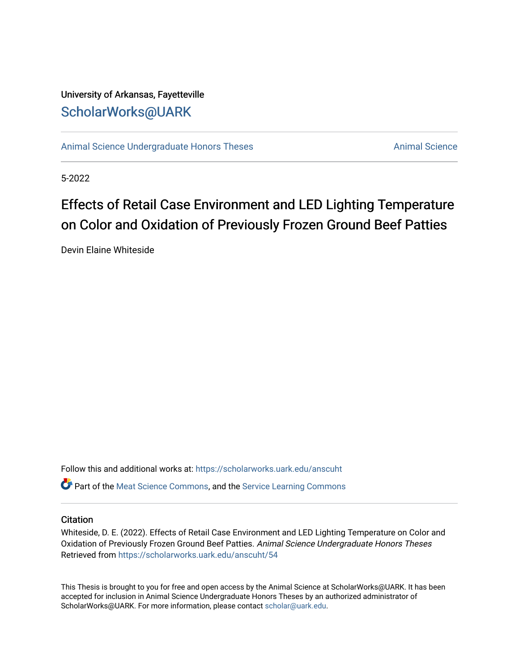# University of Arkansas, Fayetteville [ScholarWorks@UARK](https://scholarworks.uark.edu/)

[Animal Science Undergraduate Honors Theses](https://scholarworks.uark.edu/anscuht) [Animal Science](https://scholarworks.uark.edu/ansc) Animal Science

5-2022

# Effects of Retail Case Environment and LED Lighting Temperature on Color and Oxidation of Previously Frozen Ground Beef Patties

Devin Elaine Whiteside

Follow this and additional works at: [https://scholarworks.uark.edu/anscuht](https://scholarworks.uark.edu/anscuht?utm_source=scholarworks.uark.edu%2Fanscuht%2F54&utm_medium=PDF&utm_campaign=PDFCoverPages)  **P** Part of the [Meat Science Commons,](http://network.bepress.com/hgg/discipline/1301?utm_source=scholarworks.uark.edu%2Fanscuht%2F54&utm_medium=PDF&utm_campaign=PDFCoverPages) and the [Service Learning Commons](http://network.bepress.com/hgg/discipline/1024?utm_source=scholarworks.uark.edu%2Fanscuht%2F54&utm_medium=PDF&utm_campaign=PDFCoverPages)

#### **Citation**

Whiteside, D. E. (2022). Effects of Retail Case Environment and LED Lighting Temperature on Color and Oxidation of Previously Frozen Ground Beef Patties. Animal Science Undergraduate Honors Theses Retrieved from [https://scholarworks.uark.edu/anscuht/54](https://scholarworks.uark.edu/anscuht/54?utm_source=scholarworks.uark.edu%2Fanscuht%2F54&utm_medium=PDF&utm_campaign=PDFCoverPages) 

This Thesis is brought to you for free and open access by the Animal Science at ScholarWorks@UARK. It has been accepted for inclusion in Animal Science Undergraduate Honors Theses by an authorized administrator of ScholarWorks@UARK. For more information, please contact [scholar@uark.edu](mailto:scholar@uark.edu).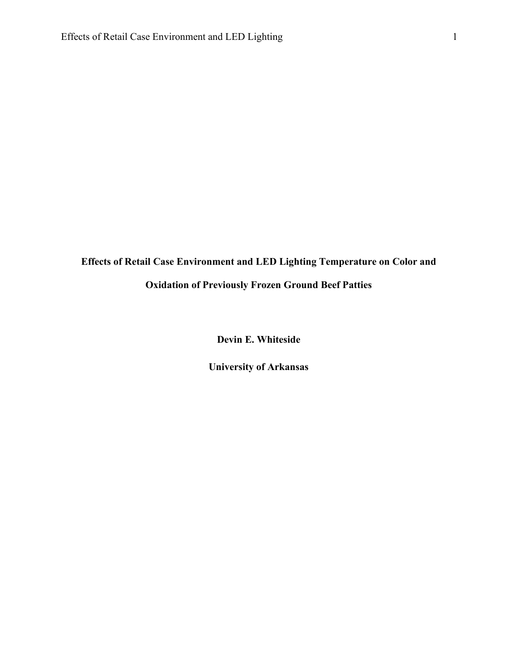# **Effects of Retail Case Environment and LED Lighting Temperature on Color and Oxidation of Previously Frozen Ground Beef Patties**

**Devin E. Whiteside**

**University of Arkansas**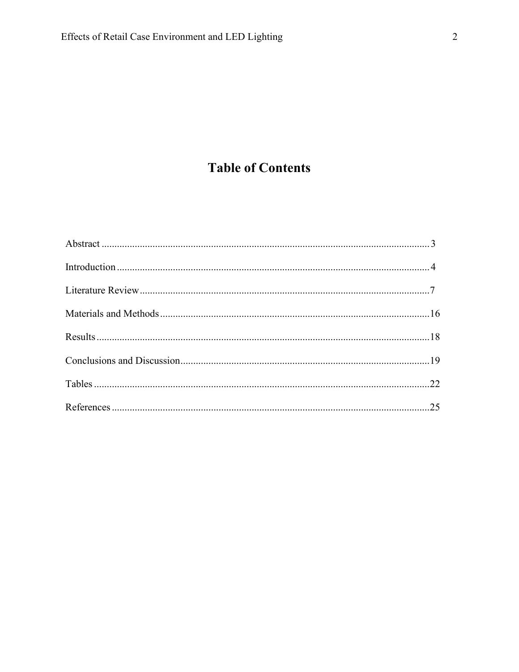# **Table of Contents**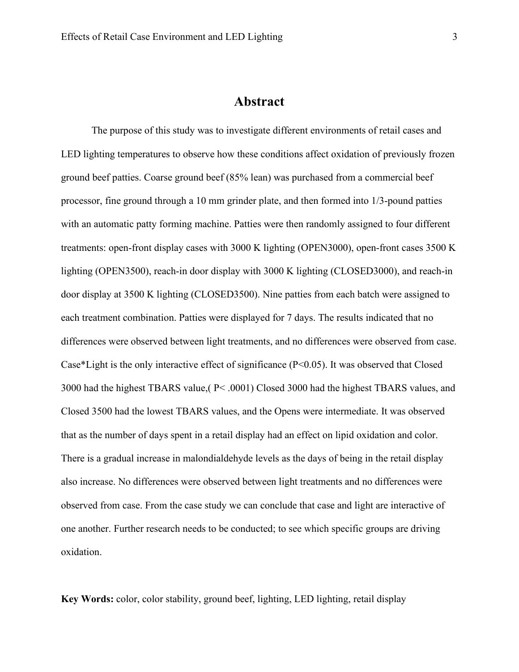# **Abstract**

The purpose of this study was to investigate different environments of retail cases and LED lighting temperatures to observe how these conditions affect oxidation of previously frozen ground beef patties. Coarse ground beef (85% lean) was purchased from a commercial beef processor, fine ground through a 10 mm grinder plate, and then formed into 1/3-pound patties with an automatic patty forming machine. Patties were then randomly assigned to four different treatments: open-front display cases with 3000 K lighting (OPEN3000), open-front cases 3500 K lighting (OPEN3500), reach-in door display with 3000 K lighting (CLOSED3000), and reach-in door display at 3500 K lighting (CLOSED3500). Nine patties from each batch were assigned to each treatment combination. Patties were displayed for 7 days. The results indicated that no differences were observed between light treatments, and no differences were observed from case. Case\*Light is the only interactive effect of significance (P<0.05). It was observed that Closed 3000 had the highest TBARS value,( P< .0001) Closed 3000 had the highest TBARS values, and Closed 3500 had the lowest TBARS values, and the Opens were intermediate. It was observed that as the number of days spent in a retail display had an effect on lipid oxidation and color. There is a gradual increase in malondialdehyde levels as the days of being in the retail display also increase. No differences were observed between light treatments and no differences were observed from case. From the case study we can conclude that case and light are interactive of one another. Further research needs to be conducted; to see which specific groups are driving oxidation.

**Key Words:** color, color stability, ground beef, lighting, LED lighting, retail display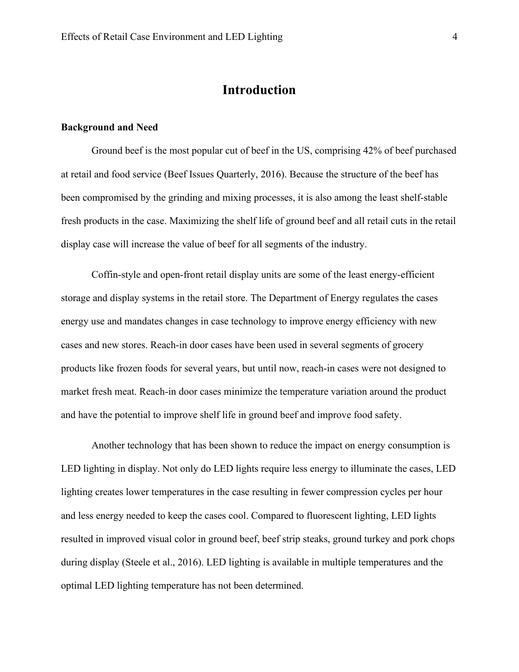# **Introduction**

#### **Background and Need**

Ground beef is the most popular cut of beef in the US, comprising 42% of beef purchased at retail and food service (Beef Issues Quarterly, 2016). Because the structure of the beef has been compromised by the grinding and mixing processes, it is also among the least shelf-stable fresh products in the case. Maximizing the shelf life of ground beef and all retail cuts in the retail display case will increase the value of beef for all segments of the industry.

Coffin-style and open-front retail display units are some of the least energy-efficient storage and display systems in the retail store. The Department of Energy regulates the cases energy use and mandates changes in case technology to improve energy efficiency with new cases and new stores. Reach-in door cases have been used in several segments of grocery products like frozen foods for several years, but until now, reach-in cases were not designed to market fresh meat. Reach-in door cases minimize the temperature variation around the product and have the potential to improve shelf life in ground beef and improve food safety.

Another technology that has been shown to reduce the impact on energy consumption is LED lighting in display. Not only do LED lights require less energy to illuminate the cases, LED lighting creates lower temperatures in the case resulting in fewer compression cycles per hour and less energy needed to keep the cases cool. Compared to fluorescent lighting, LED lights resulted in improved visual color in ground beef, beef strip steaks, ground turkey and pork chops during display (Steele et al., 2016). LED lighting is available in multiple temperatures and the optimal LED lighting temperature has not been determined.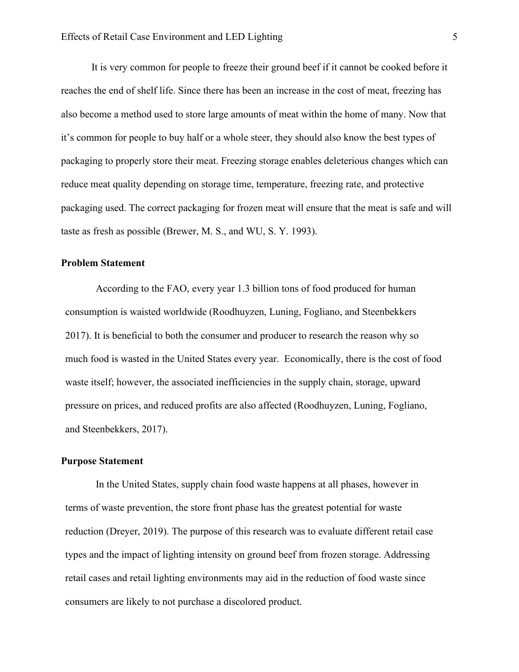It is very common for people to freeze their ground beef if it cannot be cooked before it reaches the end of shelf life. Since there has been an increase in the cost of meat, freezing has also become a method used to store large amounts of meat within the home of many. Now that it's common for people to buy half or a whole steer, they should also know the best types of packaging to properly store their meat. Freezing storage enables deleterious changes which can reduce meat quality depending on storage time, temperature, freezing rate, and protective packaging used. The correct packaging for frozen meat will ensure that the meat is safe and will taste as fresh as possible (Brewer, M. S., and WU, S. Y. 1993).

## **Problem Statement**

According to the FAO, every year 1.3 billion tons of food produced for human consumption is waisted worldwide (Roodhuyzen, Luning, Fogliano, and Steenbekkers 2017). It is beneficial to both the consumer and producer to research the reason why so much food is wasted in the United States every year. Economically, there is the cost of food waste itself; however, the associated inefficiencies in the supply chain, storage, upward pressure on prices, and reduced profits are also affected (Roodhuyzen, Luning, Fogliano, and Steenbekkers, 2017).

#### **Purpose Statement**

In the United States, supply chain food waste happens at all phases, however in terms of waste prevention, the store front phase has the greatest potential for waste reduction (Dreyer, 2019). The purpose of this research was to evaluate different retail case types and the impact of lighting intensity on ground beef from frozen storage. Addressing retail cases and retail lighting environments may aid in the reduction of food waste since consumers are likely to not purchase a discolored product.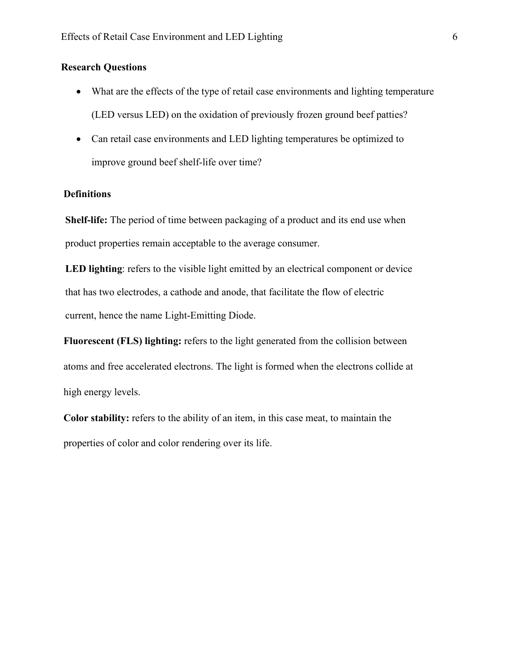## **Research Questions**

- What are the effects of the type of retail case environments and lighting temperature (LED versus LED) on the oxidation of previously frozen ground beef patties?
- Can retail case environments and LED lighting temperatures be optimized to improve ground beef shelf-life over time?

## **Definitions**

**Shelf-life:** The period of time between packaging of a product and its end use when product properties remain acceptable to the average consumer.

LED lighting: refers to the visible light emitted by an electrical component or device that has two electrodes, a cathode and anode, that facilitate the flow of electric current, hence the name Light-Emitting Diode.

**Fluorescent (FLS) lighting:** refers to the light generated from the collision between atoms and free accelerated electrons. The light is formed when the electrons collide at high energy levels.

**Color stability:** refers to the ability of an item, in this case meat, to maintain the properties of color and color rendering over its life.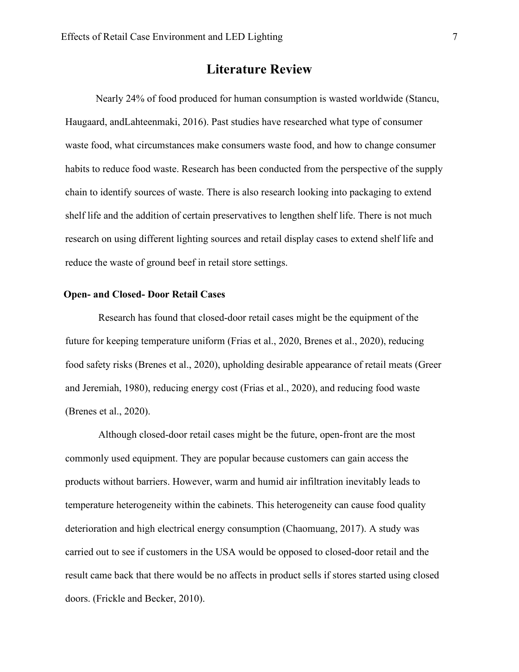# **Literature Review**

Nearly 24% of food produced for human consumption is wasted worldwide (Stancu, Haugaard, andLahteenmaki, 2016). Past studies have researched what type of consumer waste food, what circumstances make consumers waste food, and how to change consumer habits to reduce food waste. Research has been conducted from the perspective of the supply chain to identify sources of waste. There is also research looking into packaging to extend shelf life and the addition of certain preservatives to lengthen shelf life. There is not much research on using different lighting sources and retail display cases to extend shelf life and reduce the waste of ground beef in retail store settings.

## **Open- and Closed- Door Retail Cases**

Research has found that closed-door retail cases might be the equipment of the future for keeping temperature uniform (Frias et al., 2020, Brenes et al., 2020), reducing food safety risks (Brenes et al., 2020), upholding desirable appearance of retail meats (Greer and Jeremiah, 1980), reducing energy cost (Frias et al., 2020), and reducing food waste (Brenes et al., 2020).

Although closed-door retail cases might be the future, open-front are the most commonly used equipment. They are popular because customers can gain access the products without barriers. However, warm and humid air infiltration inevitably leads to temperature heterogeneity within the cabinets. This heterogeneity can cause food quality deterioration and high electrical energy consumption (Chaomuang, 2017). A study was carried out to see if customers in the USA would be opposed to closed-door retail and the result came back that there would be no affects in product sells if stores started using closed doors. (Frickle and Becker, 2010).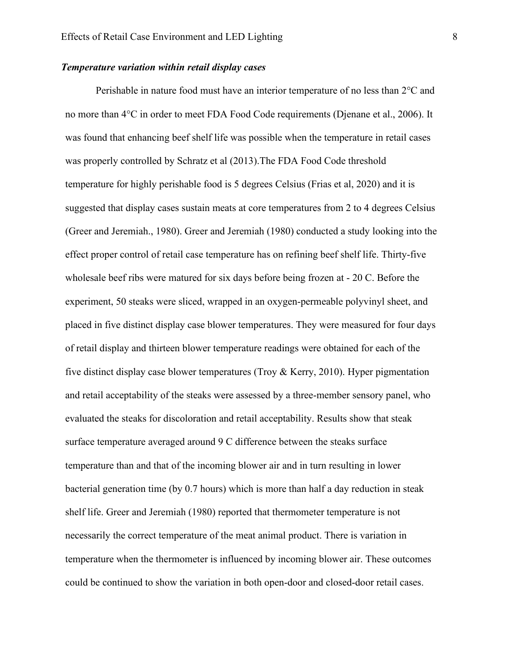#### *Temperature variation within retail display cases*

Perishable in nature food must have an interior temperature of no less than 2°C and no more than 4°C in order to meet FDA Food Code requirements (Djenane et al., 2006). It was found that enhancing beef shelf life was possible when the temperature in retail cases was properly controlled by Schratz et al (2013).The FDA Food Code threshold temperature for highly perishable food is 5 degrees Celsius (Frias et al, 2020) and it is suggested that display cases sustain meats at core temperatures from 2 to 4 degrees Celsius (Greer and Jeremiah., 1980). Greer and Jeremiah (1980) conducted a study looking into the effect proper control of retail case temperature has on refining beef shelf life. Thirty-five wholesale beef ribs were matured for six days before being frozen at - 20 C. Before the experiment, 50 steaks were sliced, wrapped in an oxygen-permeable polyvinyl sheet, and placed in five distinct display case blower temperatures. They were measured for four days of retail display and thirteen blower temperature readings were obtained for each of the five distinct display case blower temperatures (Troy  $&$  Kerry, 2010). Hyper pigmentation and retail acceptability of the steaks were assessed by a three-member sensory panel, who evaluated the steaks for discoloration and retail acceptability. Results show that steak surface temperature averaged around 9 C difference between the steaks surface temperature than and that of the incoming blower air and in turn resulting in lower bacterial generation time (by 0.7 hours) which is more than half a day reduction in steak shelf life. Greer and Jeremiah (1980) reported that thermometer temperature is not necessarily the correct temperature of the meat animal product. There is variation in temperature when the thermometer is influenced by incoming blower air. These outcomes could be continued to show the variation in both open-door and closed-door retail cases.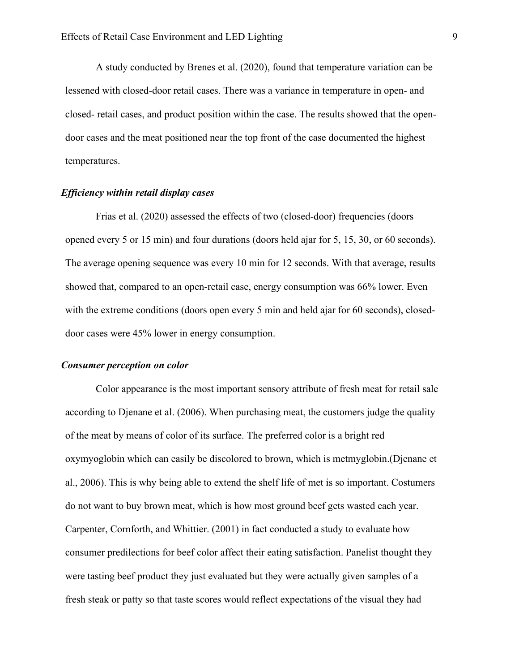A study conducted by Brenes et al. (2020), found that temperature variation can be lessened with closed-door retail cases. There was a variance in temperature in open- and closed- retail cases, and product position within the case. The results showed that the opendoor cases and the meat positioned near the top front of the case documented the highest temperatures.

#### *Efficiency within retail display cases*

Frias et al. (2020) assessed the effects of two (closed-door) frequencies (doors opened every 5 or 15 min) and four durations (doors held ajar for 5, 15, 30, or 60 seconds). The average opening sequence was every 10 min for 12 seconds. With that average, results showed that, compared to an open-retail case, energy consumption was 66% lower. Even with the extreme conditions (doors open every 5 min and held ajar for 60 seconds), closeddoor cases were 45% lower in energy consumption.

#### *Consumer perception on color*

Color appearance is the most important sensory attribute of fresh meat for retail sale according to Djenane et al. (2006). When purchasing meat, the customers judge the quality of the meat by means of color of its surface. The preferred color is a bright red oxymyoglobin which can easily be discolored to brown, which is metmyglobin.(Djenane et al., 2006). This is why being able to extend the shelf life of met is so important. Costumers do not want to buy brown meat, which is how most ground beef gets wasted each year. Carpenter, Cornforth, and Whittier. (2001) in fact conducted a study to evaluate how consumer predilections for beef color affect their eating satisfaction. Panelist thought they were tasting beef product they just evaluated but they were actually given samples of a fresh steak or patty so that taste scores would reflect expectations of the visual they had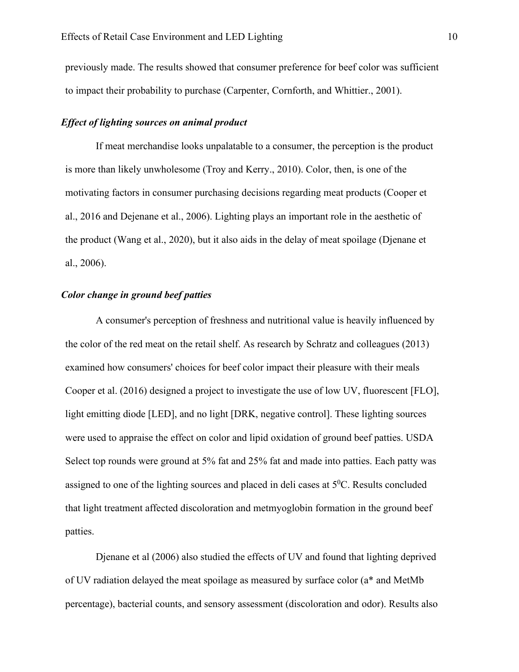previously made. The results showed that consumer preference for beef color was sufficient to impact their probability to purchase (Carpenter, Cornforth, and Whittier., 2001).

## *Effect of lighting sources on animal product*

If meat merchandise looks unpalatable to a consumer, the perception is the product is more than likely unwholesome (Troy and Kerry., 2010). Color, then, is one of the motivating factors in consumer purchasing decisions regarding meat products (Cooper et al., 2016 and Dejenane et al., 2006). Lighting plays an important role in the aesthetic of the product (Wang et al., 2020), but it also aids in the delay of meat spoilage (Djenane et al., 2006).

#### *Color change in ground beef patties*

A consumer's perception of freshness and nutritional value is heavily influenced by the color of the red meat on the retail shelf. As research by Schratz and colleagues (2013) examined how consumers' choices for beef color impact their pleasure with their meals Cooper et al. (2016) designed a project to investigate the use of low UV, fluorescent [FLO], light emitting diode [LED], and no light [DRK, negative control]. These lighting sources were used to appraise the effect on color and lipid oxidation of ground beef patties. USDA Select top rounds were ground at 5% fat and 25% fat and made into patties. Each patty was assigned to one of the lighting sources and placed in deli cases at  $5^0C$ . Results concluded that light treatment affected discoloration and metmyoglobin formation in the ground beef patties.

Djenane et al (2006) also studied the effects of UV and found that lighting deprived of UV radiation delayed the meat spoilage as measured by surface color (a\* and MetMb percentage), bacterial counts, and sensory assessment (discoloration and odor). Results also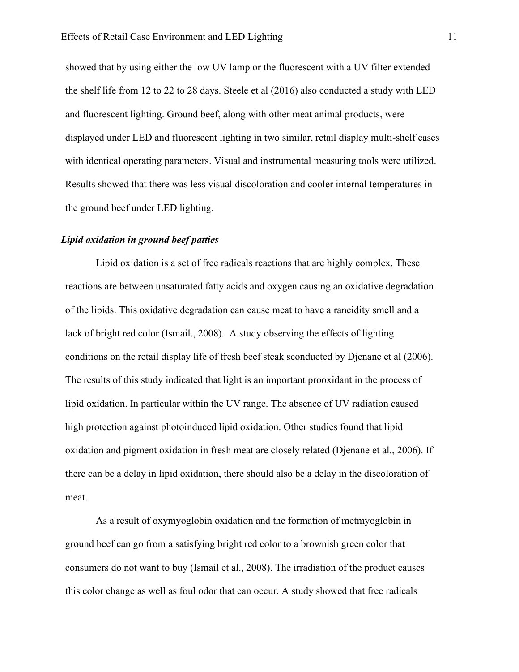showed that by using either the low UV lamp or the fluorescent with a UV filter extended the shelf life from 12 to 22 to 28 days. Steele et al (2016) also conducted a study with LED and fluorescent lighting. Ground beef, along with other meat animal products, were displayed under LED and fluorescent lighting in two similar, retail display multi-shelf cases with identical operating parameters. Visual and instrumental measuring tools were utilized. Results showed that there was less visual discoloration and cooler internal temperatures in the ground beef under LED lighting.

#### *Lipid oxidation in ground beef patties*

Lipid oxidation is a set of free radicals reactions that are highly complex. These reactions are between unsaturated fatty acids and oxygen causing an oxidative degradation of the lipids. This oxidative degradation can cause meat to have a rancidity smell and a lack of bright red color (Ismail., 2008). A study observing the effects of lighting conditions on the retail display life of fresh beef steak sconducted by Djenane et al (2006). The results of this study indicated that light is an important prooxidant in the process of lipid oxidation. In particular within the UV range. The absence of UV radiation caused high protection against photoinduced lipid oxidation. Other studies found that lipid oxidation and pigment oxidation in fresh meat are closely related (Djenane et al., 2006). If there can be a delay in lipid oxidation, there should also be a delay in the discoloration of meat.

As a result of oxymyoglobin oxidation and the formation of metmyoglobin in ground beef can go from a satisfying bright red color to a brownish green color that consumers do not want to buy (Ismail et al., 2008). The irradiation of the product causes this color change as well as foul odor that can occur. A study showed that free radicals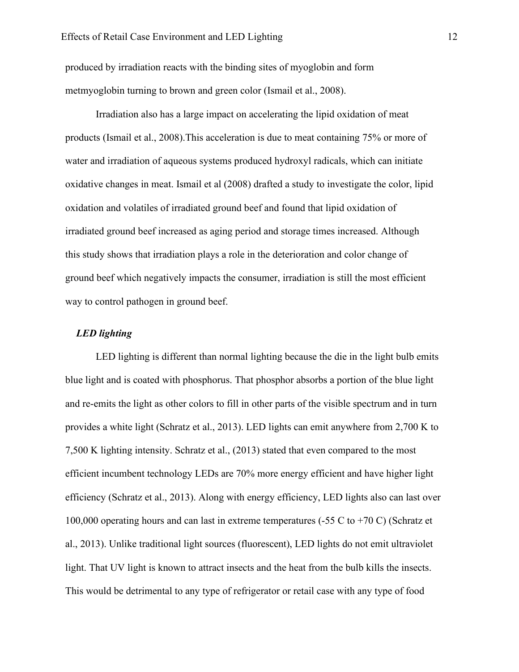produced by irradiation reacts with the binding sites of myoglobin and form metmyoglobin turning to brown and green color (Ismail et al., 2008).

Irradiation also has a large impact on accelerating the lipid oxidation of meat products (Ismail et al., 2008).This acceleration is due to meat containing 75% or more of water and irradiation of aqueous systems produced hydroxyl radicals, which can initiate oxidative changes in meat. Ismail et al (2008) drafted a study to investigate the color, lipid oxidation and volatiles of irradiated ground beef and found that lipid oxidation of irradiated ground beef increased as aging period and storage times increased. Although this study shows that irradiation plays a role in the deterioration and color change of ground beef which negatively impacts the consumer, irradiation is still the most efficient way to control pathogen in ground beef.

#### *LED lighting*

LED lighting is different than normal lighting because the die in the light bulb emits blue light and is coated with phosphorus. That phosphor absorbs a portion of the blue light and re-emits the light as other colors to fill in other parts of the visible spectrum and in turn provides a white light (Schratz et al., 2013). LED lights can emit anywhere from 2,700 K to 7,500 K lighting intensity. Schratz et al., (2013) stated that even compared to the most efficient incumbent technology LEDs are 70% more energy efficient and have higher light efficiency (Schratz et al., 2013). Along with energy efficiency, LED lights also can last over 100,000 operating hours and can last in extreme temperatures (-55 C to +70 C) (Schratz et al., 2013). Unlike traditional light sources (fluorescent), LED lights do not emit ultraviolet light. That UV light is known to attract insects and the heat from the bulb kills the insects. This would be detrimental to any type of refrigerator or retail case with any type of food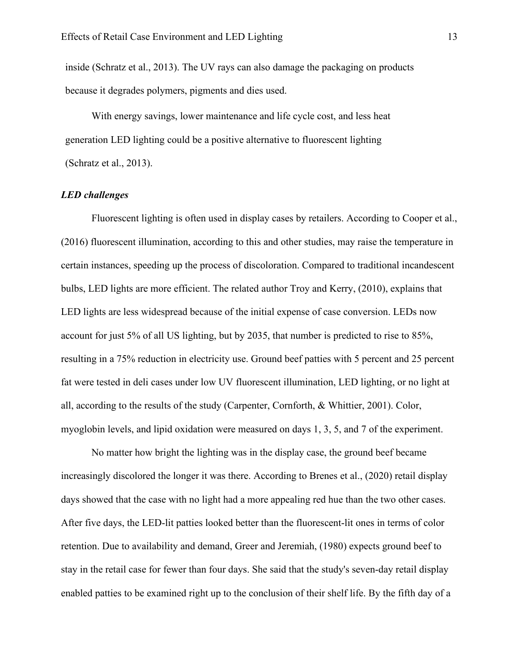inside (Schratz et al., 2013). The UV rays can also damage the packaging on products because it degrades polymers, pigments and dies used.

With energy savings, lower maintenance and life cycle cost, and less heat generation LED lighting could be a positive alternative to fluorescent lighting (Schratz et al., 2013).

#### *LED challenges*

Fluorescent lighting is often used in display cases by retailers. According to Cooper et al., (2016) fluorescent illumination, according to this and other studies, may raise the temperature in certain instances, speeding up the process of discoloration. Compared to traditional incandescent bulbs, LED lights are more efficient. The related author Troy and Kerry, (2010), explains that LED lights are less widespread because of the initial expense of case conversion. LEDs now account for just 5% of all US lighting, but by 2035, that number is predicted to rise to 85%, resulting in a 75% reduction in electricity use. Ground beef patties with 5 percent and 25 percent fat were tested in deli cases under low UV fluorescent illumination, LED lighting, or no light at all, according to the results of the study (Carpenter, Cornforth, & Whittier, 2001). Color, myoglobin levels, and lipid oxidation were measured on days 1, 3, 5, and 7 of the experiment.

No matter how bright the lighting was in the display case, the ground beef became increasingly discolored the longer it was there. According to Brenes et al., (2020) retail display days showed that the case with no light had a more appealing red hue than the two other cases. After five days, the LED-lit patties looked better than the fluorescent-lit ones in terms of color retention. Due to availability and demand, Greer and Jeremiah, (1980) expects ground beef to stay in the retail case for fewer than four days. She said that the study's seven-day retail display enabled patties to be examined right up to the conclusion of their shelf life. By the fifth day of a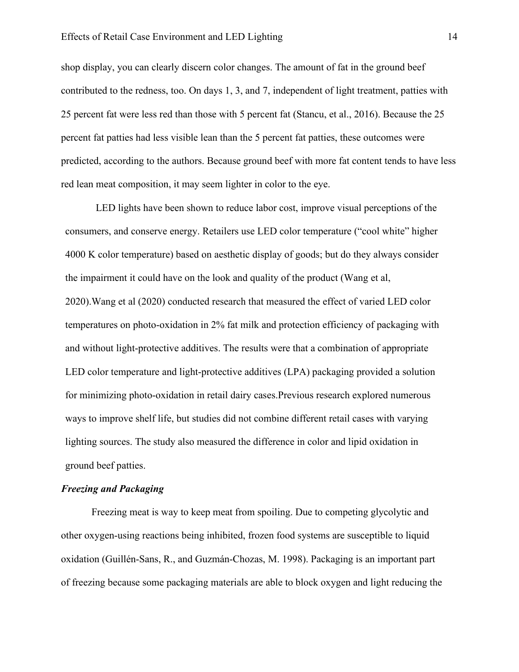shop display, you can clearly discern color changes. The amount of fat in the ground beef contributed to the redness, too. On days 1, 3, and 7, independent of light treatment, patties with 25 percent fat were less red than those with 5 percent fat (Stancu, et al., 2016). Because the 25 percent fat patties had less visible lean than the 5 percent fat patties, these outcomes were predicted, according to the authors. Because ground beef with more fat content tends to have less red lean meat composition, it may seem lighter in color to the eye.

LED lights have been shown to reduce labor cost, improve visual perceptions of the consumers, and conserve energy. Retailers use LED color temperature ("cool white" higher 4000 K color temperature) based on aesthetic display of goods; but do they always consider the impairment it could have on the look and quality of the product (Wang et al, 2020).Wang et al (2020) conducted research that measured the effect of varied LED color temperatures on photo-oxidation in 2% fat milk and protection efficiency of packaging with and without light-protective additives. The results were that a combination of appropriate LED color temperature and light-protective additives (LPA) packaging provided a solution for minimizing photo-oxidation in retail dairy cases.Previous research explored numerous ways to improve shelf life, but studies did not combine different retail cases with varying lighting sources. The study also measured the difference in color and lipid oxidation in ground beef patties.

#### *Freezing and Packaging*

Freezing meat is way to keep meat from spoiling. Due to competing glycolytic and other oxygen-using reactions being inhibited, frozen food systems are susceptible to liquid oxidation (Guillén-Sans, R., and Guzmán-Chozas, M. 1998). Packaging is an important part of freezing because some packaging materials are able to block oxygen and light reducing the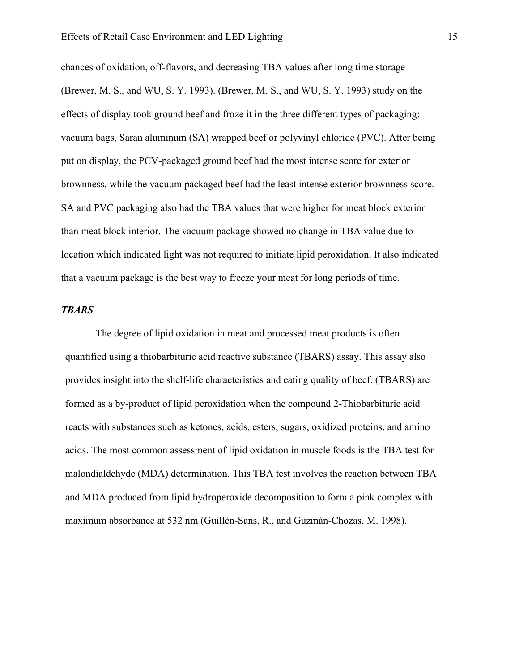chances of oxidation, off-flavors, and decreasing TBA values after long time storage (Brewer, M. S., and WU, S. Y. 1993). (Brewer, M. S., and WU, S. Y. 1993) study on the effects of display took ground beef and froze it in the three different types of packaging: vacuum bags, Saran aluminum (SA) wrapped beef or polyvinyl chloride (PVC). After being put on display, the PCV-packaged ground beef had the most intense score for exterior brownness, while the vacuum packaged beef had the least intense exterior brownness score. SA and PVC packaging also had the TBA values that were higher for meat block exterior than meat block interior. The vacuum package showed no change in TBA value due to location which indicated light was not required to initiate lipid peroxidation. It also indicated that a vacuum package is the best way to freeze your meat for long periods of time.

#### *TBARS*

The degree of lipid oxidation in meat and processed meat products is often quantified using a thiobarbituric acid reactive substance (TBARS) assay. This assay also provides insight into the shelf-life characteristics and eating quality of beef. (TBARS) are formed as a by-product of lipid peroxidation when the compound 2-Thiobarbituric acid reacts with substances such as ketones, acids, esters, sugars, oxidized proteins, and amino acids. The most common assessment of lipid oxidation in muscle foods is the TBA test for malondialdehyde (MDA) determination. This TBA test involves the reaction between TBA and MDA produced from lipid hydroperoxide decomposition to form a pink complex with maximum absorbance at 532 nm (Guillén-Sans, R., and Guzmán-Chozas, M. 1998).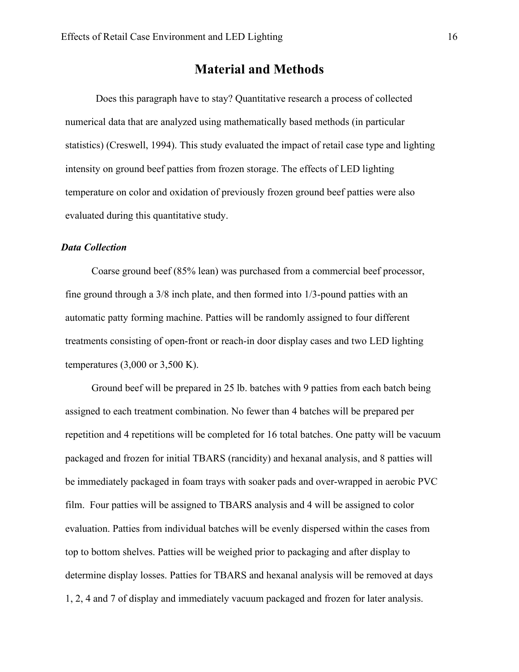# **Material and Methods**

Does this paragraph have to stay? Quantitative research a process of collected numerical data that are analyzed using mathematically based methods (in particular statistics) (Creswell, 1994). This study evaluated the impact of retail case type and lighting intensity on ground beef patties from frozen storage. The effects of LED lighting temperature on color and oxidation of previously frozen ground beef patties were also evaluated during this quantitative study.

## *Data Collection*

Coarse ground beef (85% lean) was purchased from a commercial beef processor, fine ground through a 3/8 inch plate, and then formed into 1/3-pound patties with an automatic patty forming machine. Patties will be randomly assigned to four different treatments consisting of open-front or reach-in door display cases and two LED lighting temperatures (3,000 or 3,500 K).

Ground beef will be prepared in 25 lb. batches with 9 patties from each batch being assigned to each treatment combination. No fewer than 4 batches will be prepared per repetition and 4 repetitions will be completed for 16 total batches. One patty will be vacuum packaged and frozen for initial TBARS (rancidity) and hexanal analysis, and 8 patties will be immediately packaged in foam trays with soaker pads and over-wrapped in aerobic PVC film. Four patties will be assigned to TBARS analysis and 4 will be assigned to color evaluation. Patties from individual batches will be evenly dispersed within the cases from top to bottom shelves. Patties will be weighed prior to packaging and after display to determine display losses. Patties for TBARS and hexanal analysis will be removed at days 1, 2, 4 and 7 of display and immediately vacuum packaged and frozen for later analysis.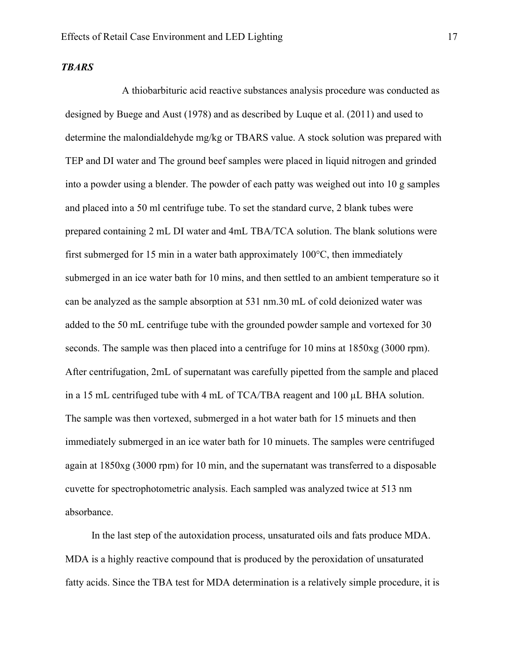## *TBARS*

A thiobarbituric acid reactive substances analysis procedure was conducted as designed by Buege and Aust (1978) and as described by Luque et al. (2011) and used to determine the malondialdehyde mg/kg or TBARS value. A stock solution was prepared with TEP and DI water and The ground beef samples were placed in liquid nitrogen and grinded into a powder using a blender. The powder of each patty was weighed out into 10 g samples and placed into a 50 ml centrifuge tube. To set the standard curve, 2 blank tubes were prepared containing 2 mL DI water and 4mL TBA/TCA solution. The blank solutions were first submerged for 15 min in a water bath approximately 100°C, then immediately submerged in an ice water bath for 10 mins, and then settled to an ambient temperature so it can be analyzed as the sample absorption at 531 nm.30 mL of cold deionized water was added to the 50 mL centrifuge tube with the grounded powder sample and vortexed for 30 seconds. The sample was then placed into a centrifuge for 10 mins at 1850xg (3000 rpm). After centrifugation, 2mL of supernatant was carefully pipetted from the sample and placed in a 15 mL centrifuged tube with 4 mL of TCA/TBA reagent and 100 µL BHA solution. The sample was then vortexed, submerged in a hot water bath for 15 minuets and then immediately submerged in an ice water bath for 10 minuets. The samples were centrifuged again at 1850xg (3000 rpm) for 10 min, and the supernatant was transferred to a disposable cuvette for spectrophotometric analysis. Each sampled was analyzed twice at 513 nm absorbance.

In the last step of the autoxidation process, unsaturated oils and fats produce MDA. MDA is a highly reactive compound that is produced by the peroxidation of unsaturated fatty acids. Since the TBA test for MDA determination is a relatively simple procedure, it is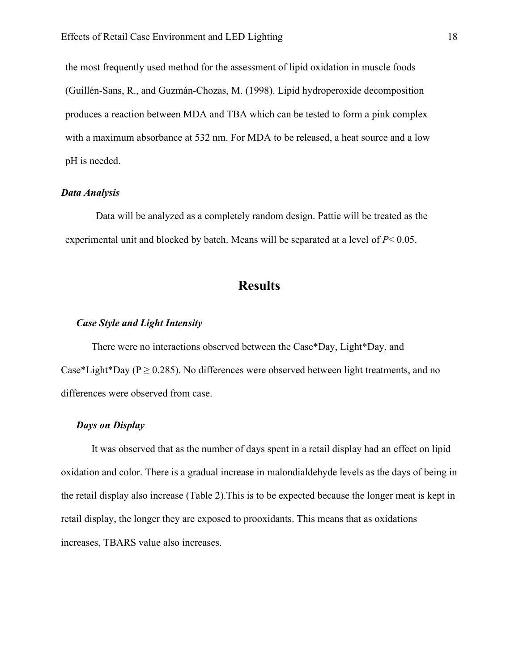the most frequently used method for the assessment of lipid oxidation in muscle foods (Guillén-Sans, R., and Guzmán-Chozas, M. (1998). Lipid hydroperoxide decomposition produces a reaction between MDA and TBA which can be tested to form a pink complex with a maximum absorbance at 532 nm. For MDA to be released, a heat source and a low pH is needed.

#### *Data Analysis*

Data will be analyzed as a completely random design. Pattie will be treated as the experimental unit and blocked by batch. Means will be separated at a level of *P*< 0.05.

# **Results**

# *Case Style and Light Intensity*

There were no interactions observed between the Case\*Day, Light\*Day, and Case\*Light\*Day ( $P \ge 0.285$ ). No differences were observed between light treatments, and no differences were observed from case.

## *Days on Display*

It was observed that as the number of days spent in a retail display had an effect on lipid oxidation and color. There is a gradual increase in malondialdehyde levels as the days of being in the retail display also increase (Table 2).This is to be expected because the longer meat is kept in retail display, the longer they are exposed to prooxidants. This means that as oxidations increases, TBARS value also increases.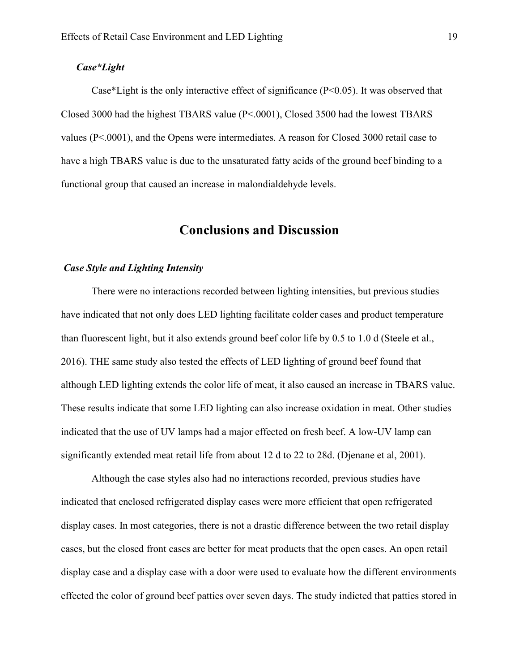## *Case\*Light*

Case\*Light is the only interactive effect of significance (P<0.05). It was observed that Closed 3000 had the highest TBARS value (P<.0001), Closed 3500 had the lowest TBARS values (P<.0001), and the Opens were intermediates. A reason for Closed 3000 retail case to have a high TBARS value is due to the unsaturated fatty acids of the ground beef binding to a functional group that caused an increase in malondialdehyde levels.

# **Conclusions and Discussion**

#### *Case Style and Lighting Intensity*

There were no interactions recorded between lighting intensities, but previous studies have indicated that not only does LED lighting facilitate colder cases and product temperature than fluorescent light, but it also extends ground beef color life by 0.5 to 1.0 d (Steele et al., 2016). THE same study also tested the effects of LED lighting of ground beef found that although LED lighting extends the color life of meat, it also caused an increase in TBARS value. These results indicate that some LED lighting can also increase oxidation in meat. Other studies indicated that the use of UV lamps had a major effected on fresh beef. A low-UV lamp can significantly extended meat retail life from about 12 d to 22 to 28d. (Djenane et al, 2001).

Although the case styles also had no interactions recorded, previous studies have indicated that enclosed refrigerated display cases were more efficient that open refrigerated display cases. In most categories, there is not a drastic difference between the two retail display cases, but the closed front cases are better for meat products that the open cases. An open retail display case and a display case with a door were used to evaluate how the different environments effected the color of ground beef patties over seven days. The study indicted that patties stored in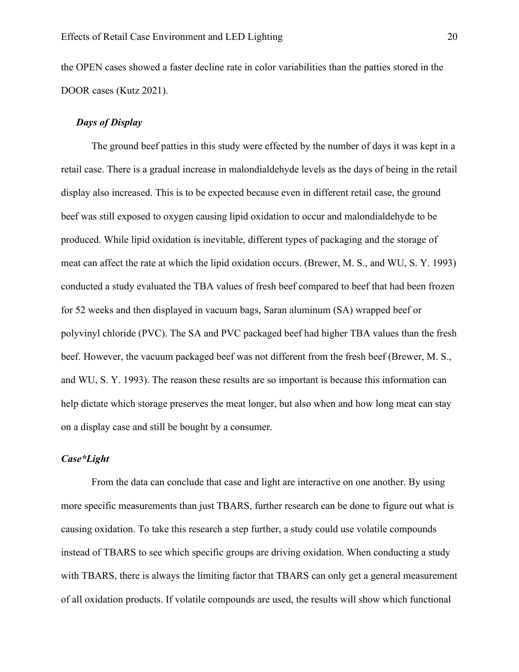the OPEN cases showed a faster decline rate in color variabilities than the patties stored in the DOOR cases (Kutz 2021).

# *Days of Display*

The ground beef patties in this study were effected by the number of days it was kept in a retail case. There is a gradual increase in malondialdehyde levels as the days of being in the retail display also increased. This is to be expected because even in different retail case, the ground beef was still exposed to oxygen causing lipid oxidation to occur and malondialdehyde to be produced. While lipid oxidation is inevitable, different types of packaging and the storage of meat can affect the rate at which the lipid oxidation occurs. (Brewer, M. S., and WU, S. Y. 1993) conducted a study evaluated the TBA values of fresh beef compared to beef that had been frozen for 52 weeks and then displayed in vacuum bags, Saran aluminum (SA) wrapped beef or polyvinyl chloride (PVC). The SA and PVC packaged beef had higher TBA values than the fresh beef. However, the vacuum packaged beef was not different from the fresh beef (Brewer, M. S., and WU, S. Y. 1993). The reason these results are so important is because this information can help dictate which storage preserves the meat longer, but also when and how long meat can stay on a display case and still be bought by a consumer.

## *Case\*Light*

From the data can conclude that case and light are interactive on one another. By using more specific measurements than just TBARS, further research can be done to figure out what is causing oxidation. To take this research a step further, a study could use volatile compounds instead of TBARS to see which specific groups are driving oxidation. When conducting a study with TBARS, there is always the limiting factor that TBARS can only get a general measurement of all oxidation products. If volatile compounds are used, the results will show which functional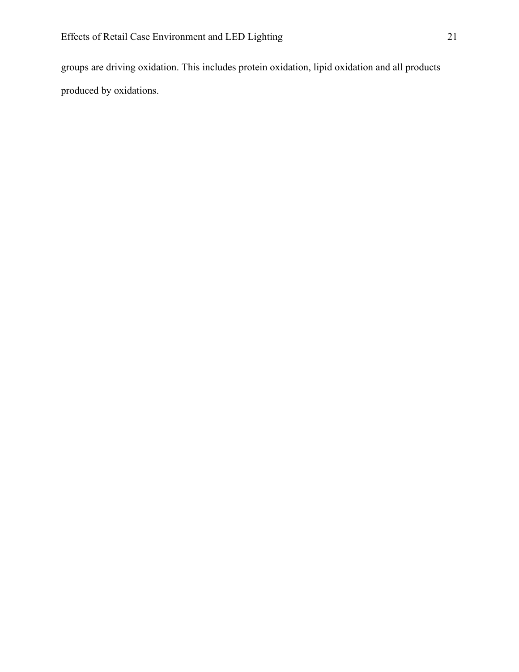groups are driving oxidation. This includes protein oxidation, lipid oxidation and all products produced by oxidations.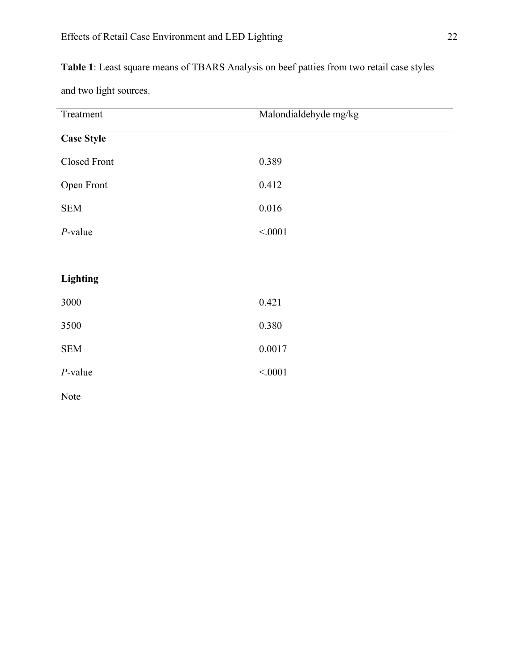**Table 1**: Least square means of TBARS Analysis on beef patties from two retail case styles

and two light sources.

| Treatment           | Malondialdehyde mg/kg |
|---------------------|-----------------------|
| <b>Case Style</b>   |                       |
| <b>Closed Front</b> | 0.389                 |
| Open Front          | 0.412                 |
| <b>SEM</b>          | 0.016                 |
| $P$ -value          | < .0001               |
|                     |                       |
| <b>Lighting</b>     |                       |
| 3000                | 0.421                 |
| 3500                | 0.380                 |
| <b>SEM</b>          | 0.0017                |
| $P$ -value          | < .0001               |
| Note                |                       |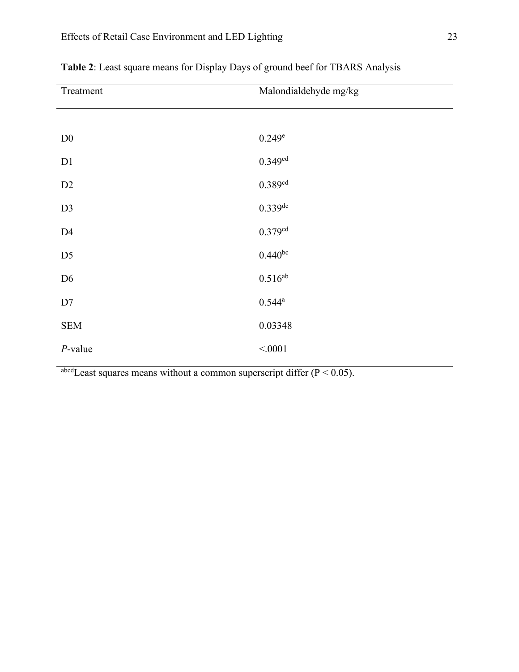| Treatment      | Malondialdehyde mg/kg |
|----------------|-----------------------|
|                |                       |
| $\mathbf{D}0$  | 0.249e                |
| D1             | $0.349^{cd}$          |
| D2             | $0.389$ dd            |
| D <sub>3</sub> | $0.339$ de            |
| D4             | $0.379^{cd}$          |
| D <sub>5</sub> | $0.440^{bc}$          |
| D <sub>6</sub> | $0.516^{ab}$          |
| $\mathbf{D}7$  | $0.544^{\rm a}$       |
| <b>SEM</b>     | 0.03348               |
| $P$ -value     | < .0001               |

**Table 2**: Least square means for Display Days of ground beef for TBARS Analysis

 $\alpha$ <sup>abcd</sup>Least squares means without a common superscript differ (P < 0.05).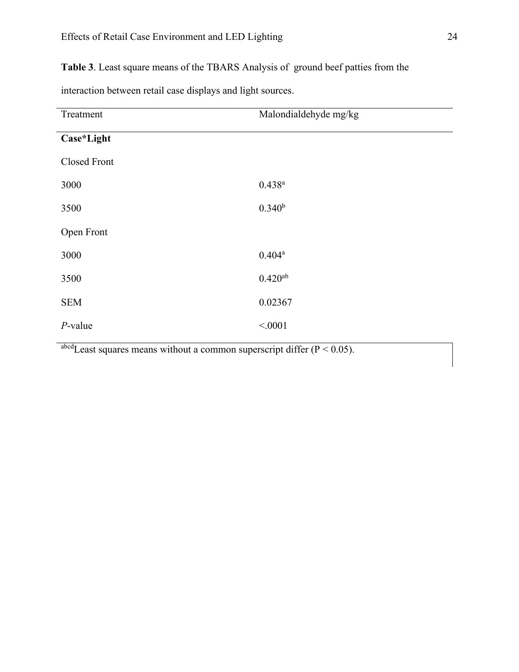**Table 3**. Least square means of the TBARS Analysis of ground beef patties from the

| Treatment    | Malondialdehyde mg/kg |
|--------------|-----------------------|
| Case*Light   |                       |
| Closed Front |                       |
| 3000         | $0.438^{a}$           |
| 3500         | $0.340^{b}$           |
| Open Front   |                       |
| 3000         | $0.404^a$             |
| 3500         | $0.420^{ab}$          |
| <b>SEM</b>   | 0.02367               |
| $P$ -value   | < 0001                |
|              |                       |

interaction between retail case displays and light sources.

abcd Least squares means without a common superscript differ  $(P < 0.05)$ .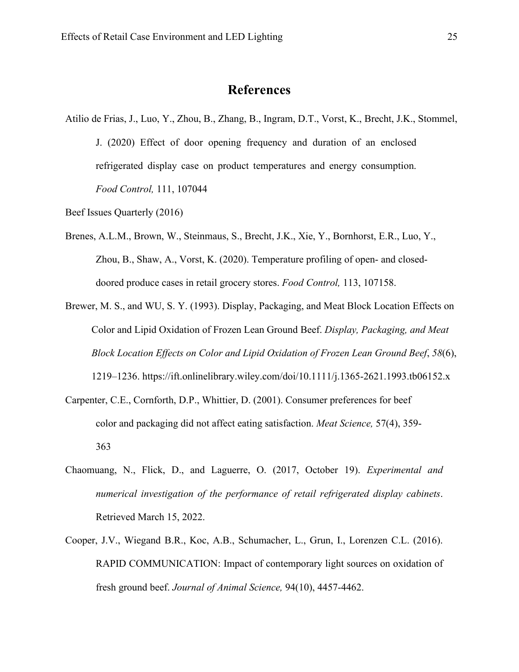# **References**

Atilio de Frias, J., Luo, Y., Zhou, B., Zhang, B., Ingram, D.T., Vorst, K., Brecht, J.K., Stommel, J. (2020) Effect of door opening frequency and duration of an enclosed refrigerated display case on product temperatures and energy consumption. *Food Control,* 111, 107044

Beef Issues Quarterly (2016)

- Brenes, A.L.M., Brown, W., Steinmaus, S., Brecht, J.K., Xie, Y., Bornhorst, E.R., Luo, Y., Zhou, B., Shaw, A., Vorst, K. (2020). Temperature profiling of open- and closeddoored produce cases in retail grocery stores. *Food Control,* 113, 107158.
- Brewer, M. S., and WU, S. Y. (1993). Display, Packaging, and Meat Block Location Effects on Color and Lipid Oxidation of Frozen Lean Ground Beef. *Display, Packaging, and Meat Block Location Effects on Color and Lipid Oxidation of Frozen Lean Ground Beef*, *58*(6), 1219–1236. https://ift.onlinelibrary.wiley.com/doi/10.1111/j.1365-2621.1993.tb06152.x
- Carpenter, C.E., Cornforth, D.P., Whittier, D. (2001). Consumer preferences for beef color and packaging did not affect eating satisfaction. *Meat Science,* 57(4), 359- 363
- Chaomuang, N., Flick, D., and Laguerre, O. (2017, October 19). *Experimental and numerical investigation of the performance of retail refrigerated display cabinets*. Retrieved March 15, 2022.
- Cooper, J.V., Wiegand B.R., Koc, A.B., Schumacher, L., Grun, I., Lorenzen C.L. (2016). RAPID COMMUNICATION: Impact of contemporary light sources on oxidation of fresh ground beef. *Journal of Animal Science,* 94(10), 4457-4462.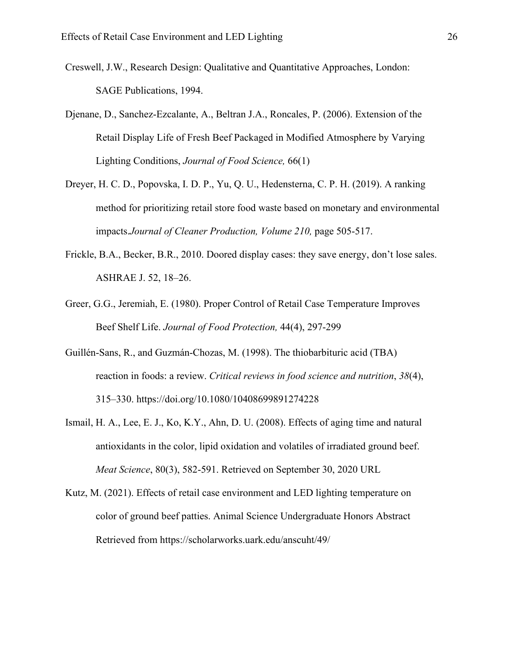- Creswell, J.W., Research Design: Qualitative and Quantitative Approaches, London: SAGE Publications, 1994.
- Djenane, D., Sanchez-Ezcalante, A., Beltran J.A., Roncales, P. (2006). Extension of the Retail Display Life of Fresh Beef Packaged in Modified Atmosphere by Varying Lighting Conditions, *Journal of Food Science,* 66(1)
- Dreyer, H. C. D., Popovska, I. D. P., Yu, Q. U., Hedensterna, C. P. H. (2019). A ranking method for prioritizing retail store food waste based on monetary and environmental impacts.*Journal of Cleaner Production, Volume 210,* page 505-517.
- Frickle, B.A., Becker, B.R., 2010. Doored display cases: they save energy, don't lose sales. ASHRAE J. 52, 18–26.
- Greer, G.G., Jeremiah, E. (1980). Proper Control of Retail Case Temperature Improves Beef Shelf Life. *Journal of Food Protection,* 44(4), 297-299
- Guillén-Sans, R., and Guzmán-Chozas, M. (1998). The thiobarbituric acid (TBA) reaction in foods: a review. *Critical reviews in food science and nutrition*, *38*(4), 315–330. https://doi.org/10.1080/10408699891274228
- Ismail, H. A., Lee, E. J., Ko, K.Y., Ahn, D. U. (2008). Effects of aging time and natural antioxidants in the color, lipid oxidation and volatiles of irradiated ground beef. *Meat Science*, 80(3), 582-591. Retrieved on September 30, 2020 URL
- Kutz, M. (2021). Effects of retail case environment and LED lighting temperature on color of ground beef patties. Animal Science Undergraduate Honors Abstract Retrieved from https://scholarworks.uark.edu/anscuht/49/